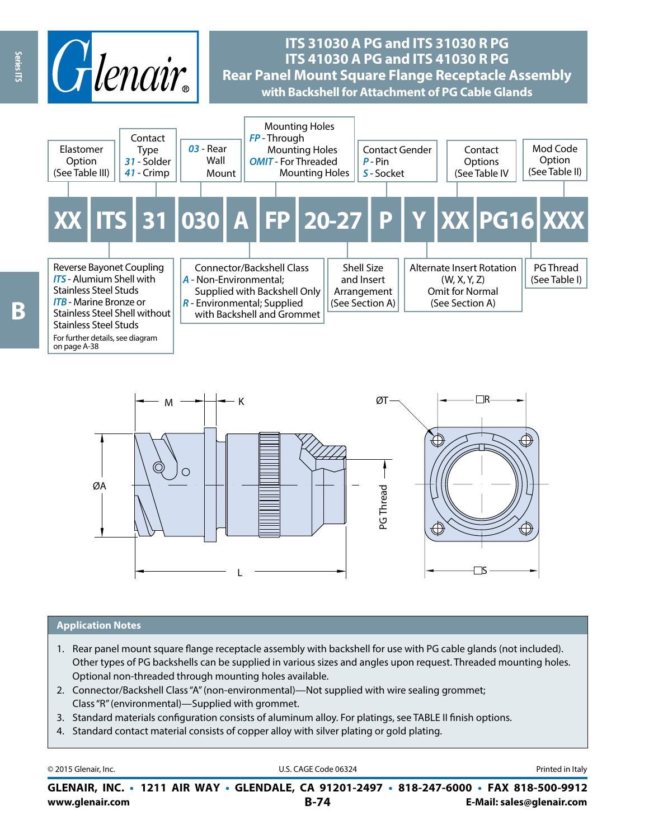

# **ITS 31030 A PG and ITS 31030 R PG ITS 41030 A PG and ITS 41030 R PG Rear Panel Mount Square Flange Receptacle Assembly with Backshell for Attachment of PG Cable Glands**





## **Application Notes**

- 1. Rear panel mount square flange receptacle assembly with backshell for use with PG cable glands (not included). Other types of PG backshells can be supplied in various sizes and angles upon request. Threaded mounting holes. Optional non-threaded through mounting holes available.
- 2. Connector/Backshell Class "A" (non-environmental)—Not supplied with wire sealing grommet; Class "R" (environmental)—Supplied with grommet.
- 3. Standard materials configuration consists of aluminum alloy. For platings, see TABLE II finish options.
- 4. Standard contact material consists of copper alloy with silver plating or gold plating.

| © 2015 Glenair, Inc. | U.S. CAGE Code 06324                                                                     | Printed in Italy          |
|----------------------|------------------------------------------------------------------------------------------|---------------------------|
|                      | GLENAIR, INC. • 1211 AIR WAY • GLENDALE, CA 91201-2497 • 818-247-6000 • FAX 818-500-9912 |                           |
| www.glenair.com      | <b>B-74</b>                                                                              | E-Mail: sales@glenair.com |

Series ITS